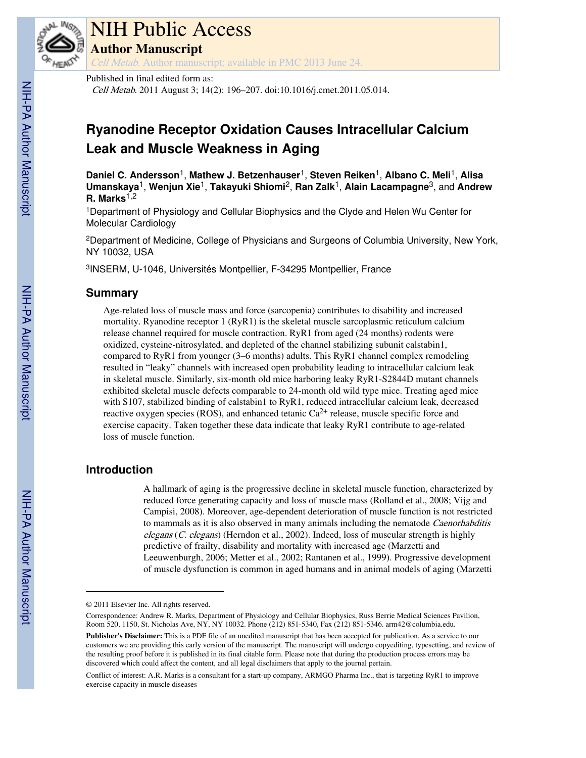

# NIH Public Access

**Author Manuscript**

Cell Metab. Author manuscript; available in PMC 2013 June 24.

### Published in final edited form as:

Cell Metab. 2011 August 3; 14(2): 196–207. doi:10.1016/j.cmet.2011.05.014.

# **Ryanodine Receptor Oxidation Causes Intracellular Calcium Leak and Muscle Weakness in Aging**

**Daniel C. Andersson**1, **Mathew J. Betzenhauser**1, **Steven Reiken**1, **Albano C. Meli**1, **Alisa Umanskaya**1, **Wenjun Xie**1, **Takayuki Shiomi**2, **Ran Zalk**1, **Alain Lacampagne**3, and **Andrew R. Marks**1,2

<sup>1</sup>Department of Physiology and Cellular Biophysics and the Clyde and Helen Wu Center for Molecular Cardiology

<sup>2</sup>Department of Medicine, College of Physicians and Surgeons of Columbia University, New York, NY 10032, USA

3 INSERM, U-1046, Universités Montpellier, F-34295 Montpellier, France

## **Summary**

Age-related loss of muscle mass and force (sarcopenia) contributes to disability and increased mortality. Ryanodine receptor 1 (RyR1) is the skeletal muscle sarcoplasmic reticulum calcium release channel required for muscle contraction. RyR1 from aged (24 months) rodents were oxidized, cysteine-nitrosylated, and depleted of the channel stabilizing subunit calstabin1, compared to RyR1 from younger (3–6 months) adults. This RyR1 channel complex remodeling resulted in "leaky" channels with increased open probability leading to intracellular calcium leak in skeletal muscle. Similarly, six-month old mice harboring leaky RyR1-S2844D mutant channels exhibited skeletal muscle defects comparable to 24-month old wild type mice. Treating aged mice with S107, stabilized binding of calstabin1 to RyR1, reduced intracellular calcium leak, decreased reactive oxygen species (ROS), and enhanced tetanic  $Ca^{2+}$  release, muscle specific force and exercise capacity. Taken together these data indicate that leaky RyR1 contribute to age-related loss of muscle function.

# **Introduction**

A hallmark of aging is the progressive decline in skeletal muscle function, characterized by reduced force generating capacity and loss of muscle mass (Rolland et al., 2008; Vijg and Campisi, 2008). Moreover, age-dependent deterioration of muscle function is not restricted to mammals as it is also observed in many animals including the nematode *Caenorhabditis* elegans (C. elegans) (Herndon et al., 2002). Indeed, loss of muscular strength is highly predictive of frailty, disability and mortality with increased age (Marzetti and Leeuwenburgh, 2006; Metter et al., 2002; Rantanen et al., 1999). Progressive development of muscle dysfunction is common in aged humans and in animal models of aging (Marzetti

<sup>© 2011</sup> Elsevier Inc. All rights reserved.

Correspondence: Andrew R. Marks, Department of Physiology and Cellular Biophysics, Russ Berrie Medical Sciences Pavilion, Room 520, 1150, St. Nicholas Ave, NY, NY 10032. Phone (212) 851-5340, Fax (212) 851-5346. arm42@columbia.edu. **Publisher's Disclaimer:** This is a PDF file of an unedited manuscript that has been accepted for publication. As a service to our customers we are providing this early version of the manuscript. The manuscript will undergo copyediting, typesetting, and review of the resulting proof before it is published in its final citable form. Please note that during the production process errors may be discovered which could affect the content, and all legal disclaimers that apply to the journal pertain.

Conflict of interest: A.R. Marks is a consultant for a start-up company, ARMGO Pharma Inc., that is targeting RyR1 to improve exercise capacity in muscle diseases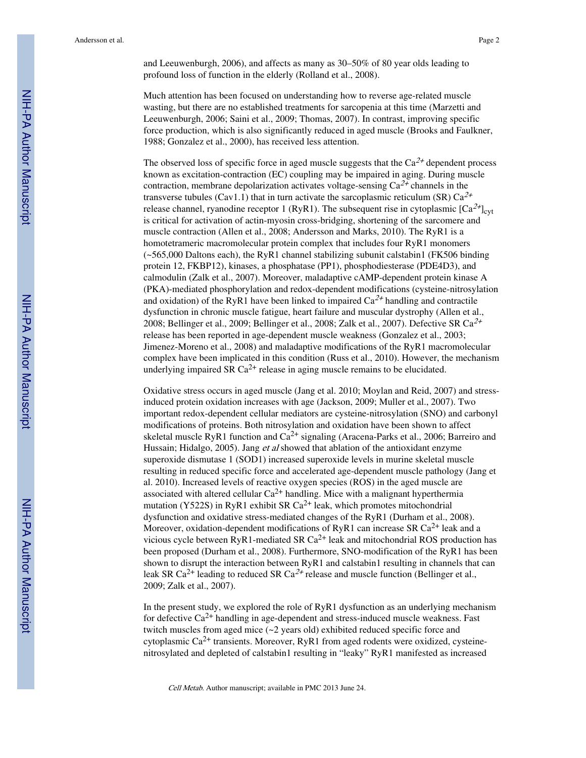and Leeuwenburgh, 2006), and affects as many as 30–50% of 80 year olds leading to profound loss of function in the elderly (Rolland et al., 2008).

Much attention has been focused on understanding how to reverse age-related muscle wasting, but there are no established treatments for sarcopenia at this time (Marzetti and Leeuwenburgh, 2006; Saini et al., 2009; Thomas, 2007). In contrast, improving specific force production, which is also significantly reduced in aged muscle (Brooks and Faulkner, 1988; Gonzalez et al., 2000), has received less attention.

The observed loss of specific force in aged muscle suggests that the  $Ca^{2+}$  dependent process known as excitation-contraction (EC) coupling may be impaired in aging. During muscle contraction, membrane depolarization activates voltage-sensing  $Ca^{2+}$  channels in the transverse tubules (Cav1.1) that in turn activate the sarcoplasmic reticulum (SR)  $Ca^{2+}$ release channel, ryanodine receptor 1 (RyR1). The subsequent rise in cytoplasmic  $[Ca^{2+}]_{\text{cvt}}$ is critical for activation of actin-myosin cross-bridging, shortening of the sarcomere and muscle contraction (Allen et al., 2008; Andersson and Marks, 2010). The RyR1 is a homotetrameric macromolecular protein complex that includes four RyR1 monomers  $(-565,000$  Daltons each), the RyR1 channel stabilizing subunit calstabin1 (FK506 binding protein 12, FKBP12), kinases, a phosphatase (PP1), phosphodiesterase (PDE4D3), and calmodulin (Zalk et al., 2007). Moreover, maladaptive cAMP-dependent protein kinase A (PKA)-mediated phosphorylation and redox-dependent modifications (cysteine-nitrosylation and oxidation) of the RyR1 have been linked to impaired  $Ca^{2+}$  handling and contractile dysfunction in chronic muscle fatigue, heart failure and muscular dystrophy (Allen et al., 2008; Bellinger et al., 2009; Bellinger et al., 2008; Zalk et al., 2007). Defective SR  $Ca^{2+}$ release has been reported in age-dependent muscle weakness (Gonzalez et al., 2003; Jimenez-Moreno et al., 2008) and maladaptive modifications of the RyR1 macromolecular complex have been implicated in this condition (Russ et al., 2010). However, the mechanism underlying impaired SR  $Ca^{2+}$  release in aging muscle remains to be elucidated.

Oxidative stress occurs in aged muscle (Jang et al. 2010; Moylan and Reid, 2007) and stressinduced protein oxidation increases with age (Jackson, 2009; Muller et al., 2007). Two important redox-dependent cellular mediators are cysteine-nitrosylation (SNO) and carbonyl modifications of proteins. Both nitrosylation and oxidation have been shown to affect skeletal muscle RyR1 function and  $Ca^{2+}$  signaling (Aracena-Parks et al., 2006; Barreiro and Hussain; Hidalgo, 2005). Jang et al showed that ablation of the antioxidant enzyme superoxide dismutase 1 (SOD1) increased superoxide levels in murine skeletal muscle resulting in reduced specific force and accelerated age-dependent muscle pathology (Jang et al. 2010). Increased levels of reactive oxygen species (ROS) in the aged muscle are associated with altered cellular  $Ca^{2+}$  handling. Mice with a malignant hyperthermia mutation (Y522S) in RyR1 exhibit SR  $Ca^{2+}$  leak, which promotes mitochondrial dysfunction and oxidative stress-mediated changes of the RyR1 (Durham et al., 2008). Moreover, oxidation-dependent modifications of RyR1 can increase SR  $Ca^{2+}$  leak and a vicious cycle between  $RyR1$ -mediated SR  $Ca^{2+}$  leak and mitochondrial ROS production has been proposed (Durham et al., 2008). Furthermore, SNO-modification of the RyR1 has been shown to disrupt the interaction between RyR1 and calstabin1 resulting in channels that can leak SR Ca<sup>2+</sup> leading to reduced SR Ca<sup>2+</sup> release and muscle function (Bellinger et al., 2009; Zalk et al., 2007).

In the present study, we explored the role of RyR1 dysfunction as an underlying mechanism for defective  $Ca^{2+}$  handling in age-dependent and stress-induced muscle weakness. Fast twitch muscles from aged mice (~2 years old) exhibited reduced specific force and cytoplasmic  $Ca^{2+}$  transients. Moreover, RyR1 from aged rodents were oxidized, cysteinenitrosylated and depleted of calstabin1 resulting in "leaky" RyR1 manifested as increased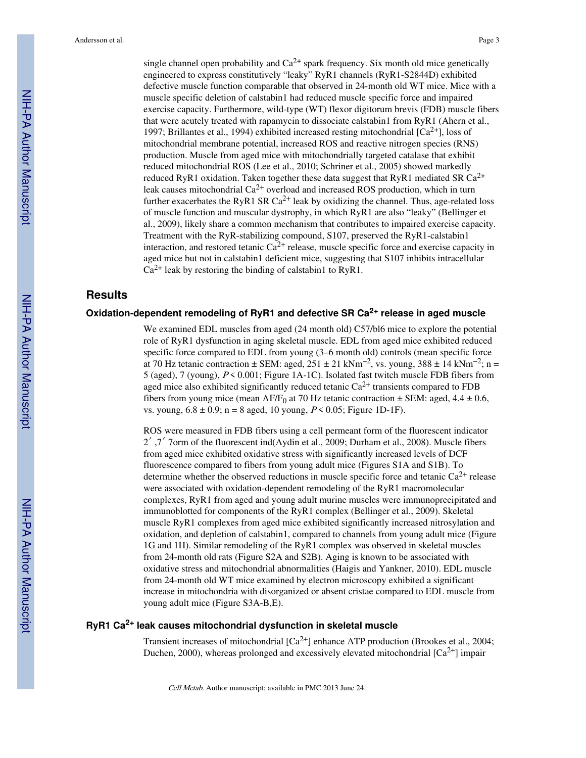single channel open probability and  $Ca^{2+}$  spark frequency. Six month old mice genetically engineered to express constitutively "leaky" RyR1 channels (RyR1-S2844D) exhibited defective muscle function comparable that observed in 24-month old WT mice. Mice with a muscle specific deletion of calstabin1 had reduced muscle specific force and impaired exercise capacity. Furthermore, wild-type (WT) flexor digitorum brevis (FDB) muscle fibers that were acutely treated with rapamycin to dissociate calstabin1 from RyR1 (Ahern et al., 1997; Brillantes et al., 1994) exhibited increased resting mitochondrial  $[Ca^{2+}]$ , loss of mitochondrial membrane potential, increased ROS and reactive nitrogen species (RNS) production. Muscle from aged mice with mitochondrially targeted catalase that exhibit reduced mitochondrial ROS (Lee et al., 2010; Schriner et al., 2005) showed markedly reduced RyR1 oxidation. Taken together these data suggest that RyR1 mediated SR  $Ca^{2+}$ leak causes mitochondrial Ca<sup>2+</sup> overload and increased ROS production, which in turn further exacerbates the RyR1 SR  $Ca^{2+}$  leak by oxidizing the channel. Thus, age-related loss of muscle function and muscular dystrophy, in which RyR1 are also "leaky" (Bellinger et al., 2009), likely share a common mechanism that contributes to impaired exercise capacity. Treatment with the RyR-stabilizing compound, S107, preserved the RyR1-calstabin1 interaction, and restored tetanic  $Ca^{2+}$  release, muscle specific force and exercise capacity in aged mice but not in calstabin1 deficient mice, suggesting that S107 inhibits intracellular  $Ca^{2+}$  leak by restoring the binding of calstabin1 to RyR1.

# **Results**

# **Oxidation-dependent remodeling of RyR1 and defective SR Ca2+ release in aged muscle**

We examined EDL muscles from aged (24 month old) C57/bl6 mice to explore the potential role of RyR1 dysfunction in aging skeletal muscle. EDL from aged mice exhibited reduced specific force compared to EDL from young (3–6 month old) controls (mean specific force at 70 Hz tetanic contraction  $\pm$  SEM: aged, 251  $\pm$  21 kNm<sup>-2</sup>, vs. young, 388  $\pm$  14 kNm<sup>-2</sup>; n = 5 (aged), 7 (young),  $P \le 0.001$ ; Figure 1A-1C). Isolated fast twitch muscle FDB fibers from aged mice also exhibited significantly reduced tetanic  $Ca^{2+}$  transients compared to FDB fibers from young mice (mean  $\Delta F/F_0$  at 70 Hz tetanic contraction  $\pm$  SEM: aged, 4.4  $\pm$  0.6, vs. young,  $6.8 \pm 0.9$ ; n = 8 aged, 10 young,  $P < 0.05$ ; Figure 1D-1F).

ROS were measured in FDB fibers using a cell permeant form of the fluorescent indicator 2′ ,7′ 7orm of the fluorescent ind(Aydin et al., 2009; Durham et al., 2008). Muscle fibers from aged mice exhibited oxidative stress with significantly increased levels of DCF fluorescence compared to fibers from young adult mice (Figures S1A and S1B). To determine whether the observed reductions in muscle specific force and tetanic  $Ca^{2+}$  release were associated with oxidation-dependent remodeling of the RyR1 macromolecular complexes, RyR1 from aged and young adult murine muscles were immunoprecipitated and immunoblotted for components of the RyR1 complex (Bellinger et al., 2009). Skeletal muscle RyR1 complexes from aged mice exhibited significantly increased nitrosylation and oxidation, and depletion of calstabin1, compared to channels from young adult mice (Figure 1G and 1H). Similar remodeling of the RyR1 complex was observed in skeletal muscles from 24-month old rats (Figure S2A and S2B). Aging is known to be associated with oxidative stress and mitochondrial abnormalities (Haigis and Yankner, 2010). EDL muscle from 24-month old WT mice examined by electron microscopy exhibited a significant increase in mitochondria with disorganized or absent cristae compared to EDL muscle from young adult mice (Figure S3A-B,E).

#### **RyR1 Ca2+ leak causes mitochondrial dysfunction in skeletal muscle**

Transient increases of mitochondrial  $[Ca^{2+}]$  enhance ATP production (Brookes et al., 2004; Duchen, 2000), whereas prolonged and excessively elevated mitochondrial  $[Ca^{2+}]$  impair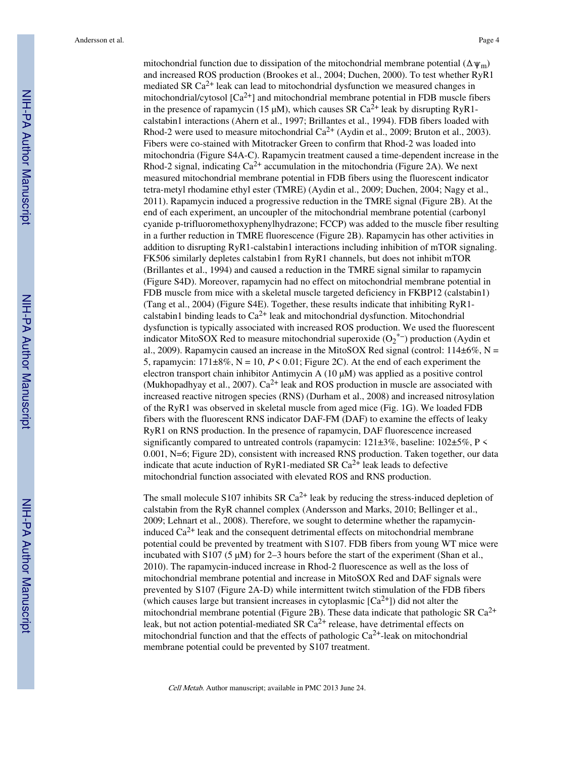mitochondrial function due to dissipation of the mitochondrial membrane potential ( $\Delta \psi_m$ ) and increased ROS production (Brookes et al., 2004; Duchen, 2000). To test whether RyR1 mediated SR  $Ca^{2+}$  leak can lead to mitochondrial dysfunction we measured changes in mitochondrial/cytosol  $[Ca^{2+}]$  and mitochondrial membrane potential in FDB muscle fibers in the presence of rapamycin (15  $\mu$ M), which causes SR Ca<sup>2+</sup> leak by disrupting RyR1calstabin1 interactions (Ahern et al., 1997; Brillantes et al., 1994). FDB fibers loaded with Rhod-2 were used to measure mitochondrial  $Ca^{2+}$  (Aydin et al., 2009; Bruton et al., 2003). Fibers were co-stained with Mitotracker Green to confirm that Rhod-2 was loaded into mitochondria (Figure S4A-C). Rapamycin treatment caused a time-dependent increase in the Rhod-2 signal, indicating  $Ca^{2+}$  accumulation in the mitochondria (Figure 2A). We next measured mitochondrial membrane potential in FDB fibers using the fluorescent indicator tetra-metyl rhodamine ethyl ester (TMRE) (Aydin et al., 2009; Duchen, 2004; Nagy et al., 2011). Rapamycin induced a progressive reduction in the TMRE signal (Figure 2B). At the end of each experiment, an uncoupler of the mitochondrial membrane potential (carbonyl cyanide p-trifluoromethoxyphenylhydrazone; FCCP) was added to the muscle fiber resulting in a further reduction in TMRE fluorescence (Figure 2B). Rapamycin has other activities in addition to disrupting RyR1-calstabin1 interactions including inhibition of mTOR signaling. FK506 similarly depletes calstabin1 from RyR1 channels, but does not inhibit mTOR (Brillantes et al., 1994) and caused a reduction in the TMRE signal similar to rapamycin (Figure S4D). Moreover, rapamycin had no effect on mitochondrial membrane potential in FDB muscle from mice with a skeletal muscle targeted deficiency in FKBP12 (calstabin1) (Tang et al., 2004) (Figure S4E). Together, these results indicate that inhibiting RyR1 calstabin1 binding leads to  $Ca^{2+}$  leak and mitochondrial dysfunction. Mitochondrial dysfunction is typically associated with increased ROS production. We used the fluorescent indicator MitoSOX Red to measure mitochondrial superoxide (O2<sup>\*-</sup>) production (Aydin et al., 2009). Rapamycin caused an increase in the MitoSOX Red signal (control:  $114\pm6\%$ , N = 5, rapamycin:  $171\pm8\%$ , N = 10, P < 0.01; Figure 2C). At the end of each experiment the electron transport chain inhibitor Antimycin A  $(10 \mu M)$  was applied as a positive control (Mukhopadhyay et al., 2007).  $Ca^{2+}$  leak and ROS production in muscle are associated with increased reactive nitrogen species (RNS) (Durham et al., 2008) and increased nitrosylation of the RyR1 was observed in skeletal muscle from aged mice (Fig. 1G). We loaded FDB fibers with the fluorescent RNS indicator DAF-FM (DAF) to examine the effects of leaky RyR1 on RNS production. In the presence of rapamycin, DAF fluorescence increased significantly compared to untreated controls (rapamycin: 121±3%, baseline: 102±5%, P < 0.001, N=6; Figure 2D), consistent with increased RNS production. Taken together, our data indicate that acute induction of RyR1-mediated SR  $Ca^{2+}$  leak leads to defective mitochondrial function associated with elevated ROS and RNS production.

The small molecule S107 inhibits SR  $Ca^{2+}$  leak by reducing the stress-induced depletion of calstabin from the RyR channel complex (Andersson and Marks, 2010; Bellinger et al., 2009; Lehnart et al., 2008). Therefore, we sought to determine whether the rapamycininduced  $Ca^{2+}$  leak and the consequent detrimental effects on mitochondrial membrane potential could be prevented by treatment with S107. FDB fibers from young WT mice were incubated with S107 (5  $\mu$ M) for 2–3 hours before the start of the experiment (Shan et al., 2010). The rapamycin-induced increase in Rhod-2 fluorescence as well as the loss of mitochondrial membrane potential and increase in MitoSOX Red and DAF signals were prevented by S107 (Figure 2A-D) while intermittent twitch stimulation of the FDB fibers (which causes large but transient increases in cytoplasmic  $[Ca^{2+}]$ ) did not alter the mitochondrial membrane potential (Figure 2B). These data indicate that pathologic SR  $Ca^{2+}$ leak, but not action potential-mediated SR  $Ca^{2+}$  release, have detrimental effects on mitochondrial function and that the effects of pathologic  $Ca^{2+}$ -leak on mitochondrial membrane potential could be prevented by S107 treatment.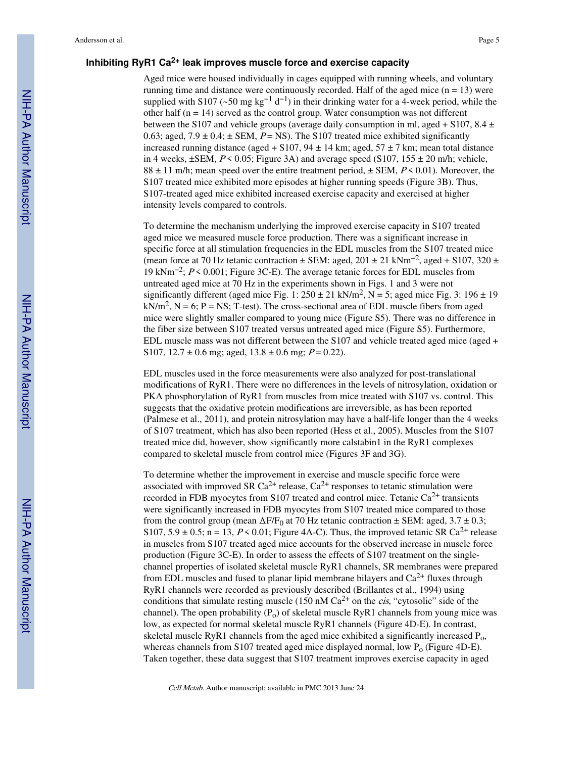#### **Inhibiting RyR1 Ca2+ leak improves muscle force and exercise capacity**

Aged mice were housed individually in cages equipped with running wheels, and voluntary running time and distance were continuously recorded. Half of the aged mice  $(n = 13)$  were supplied with S107 (~50 mg kg<sup>-1</sup> d<sup>-1</sup>) in their drinking water for a 4-week period, while the other half  $(n = 14)$  served as the control group. Water consumption was not different between the S107 and vehicle groups (average daily consumption in ml, aged + S107, 8.4  $\pm$ 0.63; aged,  $7.9 \pm 0.4$ ;  $\pm$  SEM,  $P =$  NS). The S107 treated mice exhibited significantly increased running distance (aged + S107, 94  $\pm$  14 km; aged, 57  $\pm$  7 km; mean total distance in 4 weeks,  $\pm$ SEM,  $P \le 0.05$ ; Figure 3A) and average speed (S107, 155  $\pm$  20 m/h; vehicle,  $88 \pm 11$  m/h; mean speed over the entire treatment period,  $\pm$  SEM, P < 0.01). Moreover, the S107 treated mice exhibited more episodes at higher running speeds (Figure 3B). Thus, S107-treated aged mice exhibited increased exercise capacity and exercised at higher intensity levels compared to controls.

To determine the mechanism underlying the improved exercise capacity in S107 treated aged mice we measured muscle force production. There was a significant increase in specific force at all stimulation frequencies in the EDL muscles from the S107 treated mice (mean force at 70 Hz tetanic contraction  $\pm$  SEM: aged, 201  $\pm$  21 kNm<sup>-2</sup>, aged + S107, 320  $\pm$ 19 kNm−2; P < 0.001; Figure 3C-E). The average tetanic forces for EDL muscles from untreated aged mice at 70 Hz in the experiments shown in Figs. 1 and 3 were not significantly different (aged mice Fig. 1:  $250 \pm 21$  kN/m<sup>2</sup>, N = 5; aged mice Fig. 3: 196  $\pm$  19  $kN/m<sup>2</sup>$ , N = 6; P = NS; T-test). The cross-sectional area of EDL muscle fibers from aged mice were slightly smaller compared to young mice (Figure S5). There was no difference in the fiber size between S107 treated versus untreated aged mice (Figure S5). Furthermore, EDL muscle mass was not different between the S107 and vehicle treated aged mice (aged + S107,  $12.7 \pm 0.6$  mg; aged,  $13.8 \pm 0.6$  mg;  $P = 0.22$ ).

EDL muscles used in the force measurements were also analyzed for post-translational modifications of RyR1. There were no differences in the levels of nitrosylation, oxidation or PKA phosphorylation of RyR1 from muscles from mice treated with S107 vs. control. This suggests that the oxidative protein modifications are irreversible, as has been reported (Palmese et al., 2011), and protein nitrosylation may have a half-life longer than the 4 weeks of S107 treatment, which has also been reported (Hess et al., 2005). Muscles from the S107 treated mice did, however, show significantly more calstabin1 in the RyR1 complexes compared to skeletal muscle from control mice (Figures 3F and 3G).

To determine whether the improvement in exercise and muscle specific force were associated with improved SR Ca<sup>2+</sup> release, Ca<sup>2+</sup> responses to tetanic stimulation were recorded in FDB myocytes from S107 treated and control mice. Tetanic  $Ca^{2+}$  transients were significantly increased in FDB myocytes from S107 treated mice compared to those from the control group (mean  $\Delta F/F_0$  at 70 Hz tetanic contraction  $\pm$  SEM: aged, 3.7  $\pm$  0.3; S107,  $5.9 \pm 0.5$ ; n = 13,  $P \le 0.01$ ; Figure 4A-C). Thus, the improved tetanic SR Ca<sup>2+</sup> release in muscles from S107 treated aged mice accounts for the observed increase in muscle force production (Figure 3C-E). In order to assess the effects of S107 treatment on the singlechannel properties of isolated skeletal muscle RyR1 channels, SR membranes were prepared from EDL muscles and fused to planar lipid membrane bilayers and  $Ca^{2+}$  fluxes through RyR1 channels were recorded as previously described (Brillantes et al., 1994) using conditions that simulate resting muscle (150 nM  $Ca^{2+}$  on the *cis*, "cytosolic" side of the channel). The open probability  $(P_0)$  of skeletal muscle RyR1 channels from young mice was low, as expected for normal skeletal muscle RyR1 channels (Figure 4D-E). In contrast, skeletal muscle RyR1 channels from the aged mice exhibited a significantly increased  $P_0$ , whereas channels from S107 treated aged mice displayed normal, low  $P_0$  (Figure 4D-E). Taken together, these data suggest that S107 treatment improves exercise capacity in aged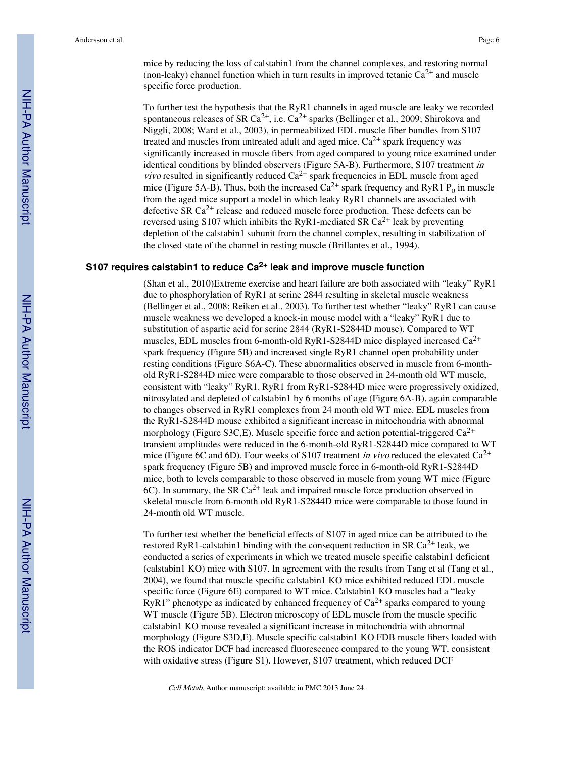mice by reducing the loss of calstabin1 from the channel complexes, and restoring normal (non-leaky) channel function which in turn results in improved tetanic  $Ca^{2+}$  and muscle specific force production.

To further test the hypothesis that the RyR1 channels in aged muscle are leaky we recorded spontaneous releases of SR Ca<sup>2+</sup>, i.e.  $Ca^{2+}$  sparks (Bellinger et al., 2009; Shirokova and Niggli, 2008; Ward et al., 2003), in permeabilized EDL muscle fiber bundles from S107 treated and muscles from untreated adult and aged mice.  $Ca^{2+}$  spark frequency was significantly increased in muscle fibers from aged compared to young mice examined under identical conditions by blinded observers (Figure 5A-B). Furthermore, S107 treatment in *vivo* resulted in significantly reduced  $Ca^{2+}$  spark frequencies in EDL muscle from aged mice (Figure 5A-B). Thus, both the increased  $Ca^{2+}$  spark frequency and RyR1 P<sub>o</sub> in muscle from the aged mice support a model in which leaky RyR1 channels are associated with defective SR  $Ca^{2+}$  release and reduced muscle force production. These defects can be reversed using S107 which inhibits the RyR1-mediated SR  $Ca^{2+}$  leak by preventing depletion of the calstabin1 subunit from the channel complex, resulting in stabilization of the closed state of the channel in resting muscle (Brillantes et al., 1994).

#### **S107 requires calstabin1 to reduce Ca2+ leak and improve muscle function**

(Shan et al., 2010)Extreme exercise and heart failure are both associated with "leaky" RyR1 due to phosphorylation of RyR1 at serine 2844 resulting in skeletal muscle weakness (Bellinger et al., 2008; Reiken et al., 2003). To further test whether "leaky" RyR1 can cause muscle weakness we developed a knock-in mouse model with a "leaky" RyR1 due to substitution of aspartic acid for serine 2844 (RyR1-S2844D mouse). Compared to WT muscles, EDL muscles from 6-month-old RyR1-S2844D mice displayed increased Ca2+ spark frequency (Figure 5B) and increased single RyR1 channel open probability under resting conditions (Figure S6A-C). These abnormalities observed in muscle from 6-monthold RyR1-S2844D mice were comparable to those observed in 24-month old WT muscle, consistent with "leaky" RyR1. RyR1 from RyR1-S2844D mice were progressively oxidized, nitrosylated and depleted of calstabin1 by 6 months of age (Figure 6A-B), again comparable to changes observed in RyR1 complexes from 24 month old WT mice. EDL muscles from the RyR1-S2844D mouse exhibited a significant increase in mitochondria with abnormal morphology (Figure S3C, E). Muscle specific force and action potential-triggered  $Ca^{2+}$ transient amplitudes were reduced in the 6-month-old RyR1-S2844D mice compared to WT mice (Figure 6C and 6D). Four weeks of S107 treatment in vivo reduced the elevated  $Ca^{2+}$ spark frequency (Figure 5B) and improved muscle force in 6-month-old RyR1-S2844D mice, both to levels comparable to those observed in muscle from young WT mice (Figure 6C). In summary, the SR  $Ca^{2+}$  leak and impaired muscle force production observed in skeletal muscle from 6-month old RyR1-S2844D mice were comparable to those found in 24-month old WT muscle.

To further test whether the beneficial effects of S107 in aged mice can be attributed to the restored RyR1-calstabin1 binding with the consequent reduction in SR  $Ca^{2+}$  leak, we conducted a series of experiments in which we treated muscle specific calstabin1 deficient (calstabin1 KO) mice with S107. In agreement with the results from Tang et al (Tang et al., 2004), we found that muscle specific calstabin1 KO mice exhibited reduced EDL muscle specific force (Figure 6E) compared to WT mice. Calstabin1 KO muscles had a "leaky RyR1" phenotype as indicated by enhanced frequency of  $Ca^{2+}$  sparks compared to young WT muscle (Figure 5B). Electron microscopy of EDL muscle from the muscle specific calstabin1 KO mouse revealed a significant increase in mitochondria with abnormal morphology (Figure S3D,E). Muscle specific calstabin1 KO FDB muscle fibers loaded with the ROS indicator DCF had increased fluorescence compared to the young WT, consistent with oxidative stress (Figure S1). However, S107 treatment, which reduced DCF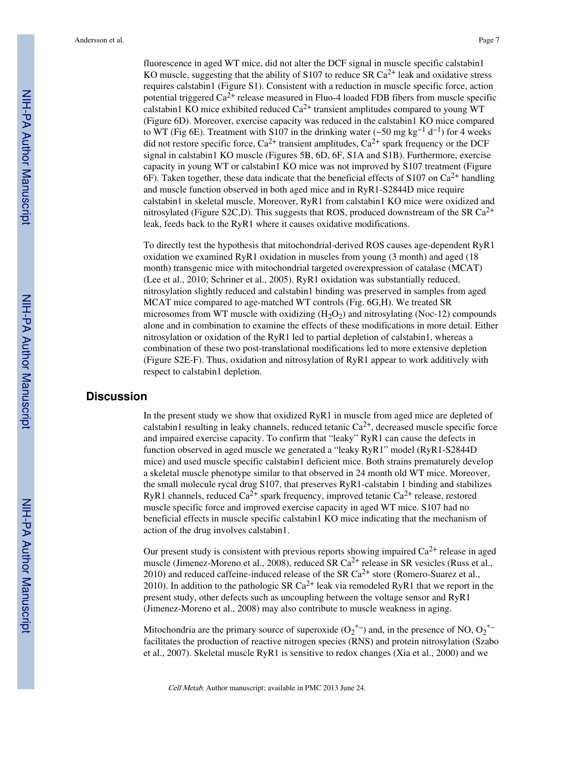fluorescence in aged WT mice, did not alter the DCF signal in muscle specific calstabin1 KO muscle, suggesting that the ability of S107 to reduce SR  $Ca^{2+}$  leak and oxidative stress requires calstabin1 (Figure S1). Consistent with a reduction in muscle specific force, action potential triggered  $Ca^{2+}$  release measured in Fluo-4 loaded FDB fibers from muscle specific calstabin1 KO mice exhibited reduced  $Ca^{2+}$  transient amplitudes compared to young WT (Figure 6D). Moreover, exercise capacity was reduced in the calstabin1 KO mice compared to WT (Fig 6E). Treatment with S107 in the drinking water (~50 mg kg<sup>-1</sup> d<sup>-1</sup>) for 4 weeks did not restore specific force,  $Ca^{2+}$  transient amplitudes,  $Ca^{2+}$  spark frequency or the DCF signal in calstabin1 KO muscle (Figures 5B, 6D, 6F, S1A and S1B). Furthermore, exercise capacity in young WT or calstabin1 KO mice was not improved by S107 treatment (Figure 6F). Taken together, these data indicate that the beneficial effects of  $S107$  on  $Ca^{2+}$  handling and muscle function observed in both aged mice and in RyR1-S2844D mice require calstabin1 in skeletal muscle. Moreover, RyR1 from calstabin1 KO mice were oxidized and nitrosylated (Figure S2C,D). This suggests that ROS, produced downstream of the SR  $Ca^{2+}$ leak, feeds back to the RyR1 where it causes oxidative modifications.

To directly test the hypothesis that mitochondrial-derived ROS causes age-dependent RyR1 oxidation we examined RyR1 oxidation in muscles from young (3 month) and aged (18 month) transgenic mice with mitochondrial targeted overexpression of catalase (MCAT) (Lee et al., 2010; Schriner et al., 2005). RyR1 oxidation was substantially reduced, nitrosylation slightly reduced and calstabin1 binding was preserved in samples from aged MCAT mice compared to age-matched WT controls (Fig. 6G,H). We treated SR microsomes from WT muscle with oxidizing  $(H_2O_2)$  and nitrosylating (Noc-12) compounds alone and in combination to examine the effects of these modifications in more detail. Either nitrosylation or oxidation of the RyR1 led to partial depletion of calstabin1, whereas a combination of these two post-translational modifications led to more extensive depletion (Figure S2E-F). Thus, oxidation and nitrosylation of RyR1 appear to work additively with respect to calstabin1 depletion.

#### **Discussion**

In the present study we show that oxidized RyR1 in muscle from aged mice are depleted of calstabin1 resulting in leaky channels, reduced tetanic  $Ca^{2+}$ , decreased muscle specific force and impaired exercise capacity. To confirm that "leaky" RyR1 can cause the defects in function observed in aged muscle we generated a "leaky RyR1" model (RyR1-S2844D mice) and used muscle specific calstabin1 deficient mice. Both strains prematurely develop a skeletal muscle phenotype similar to that observed in 24 month old WT mice. Moreover, the small molecule rycal drug S107, that preserves RyR1-calstabin 1 binding and stabilizes RyR1 channels, reduced  $Ca^{2+}$  spark frequency, improved tetanic  $Ca^{2+}$  release, restored muscle specific force and improved exercise capacity in aged WT mice. S107 had no beneficial effects in muscle specific calstabin1 KO mice indicating that the mechanism of action of the drug involves calstabin1.

Our present study is consistent with previous reports showing impaired  $Ca^{2+}$  release in aged muscle (Jimenez-Moreno et al., 2008), reduced SR Ca<sup>2+</sup> release in SR vesicles (Russ et al., 2010) and reduced caffeine-induced release of the SR  $Ca^{2+}$  store (Romero-Suarez et al., 2010). In addition to the pathologic SR  $Ca^{2+}$  leak via remodeled RyR1 that we report in the present study, other defects such as uncoupling between the voltage sensor and RyR1 (Jimenez-Moreno et al., 2008) may also contribute to muscle weakness in aging.

Mitochondria are the primary source of superoxide  $(O_2^{\ast -})$  and, in the presence of NO,  $O_2^{\ast -}$ facilitates the production of reactive nitrogen species (RNS) and protein nitrosylation (Szabo et al., 2007). Skeletal muscle RyR1 is sensitive to redox changes (Xia et al., 2000) and we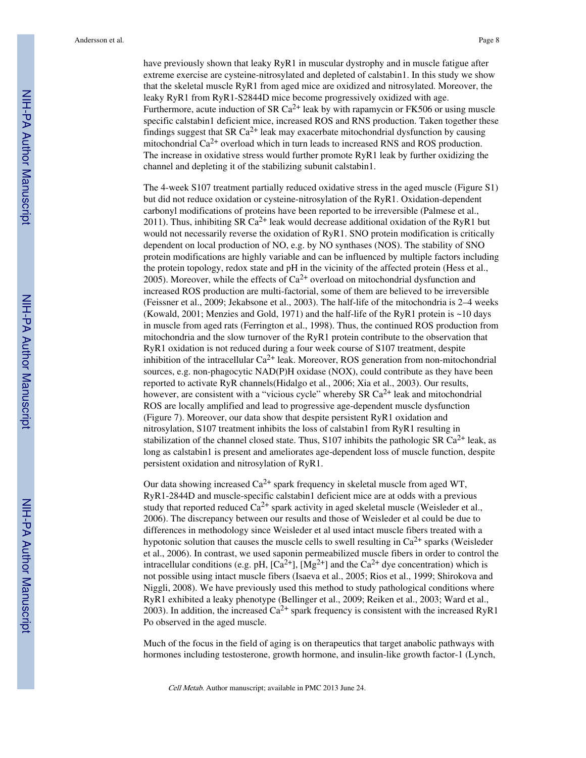have previously shown that leaky RyR1 in muscular dystrophy and in muscle fatigue after extreme exercise are cysteine-nitrosylated and depleted of calstabin1. In this study we show that the skeletal muscle RyR1 from aged mice are oxidized and nitrosylated. Moreover, the leaky RyR1 from RyR1-S2844D mice become progressively oxidized with age. Furthermore, acute induction of SR  $Ca^{2+}$  leak by with rapamycin or FK506 or using muscle specific calstabin1 deficient mice, increased ROS and RNS production. Taken together these findings suggest that SR  $Ca^{2+}$  leak may exacerbate mitochondrial dysfunction by causing mitochondrial  $Ca^{2+}$  overload which in turn leads to increased RNS and ROS production. The increase in oxidative stress would further promote RyR1 leak by further oxidizing the channel and depleting it of the stabilizing subunit calstabin1.

The 4-week S107 treatment partially reduced oxidative stress in the aged muscle (Figure S1) but did not reduce oxidation or cysteine-nitrosylation of the RyR1. Oxidation-dependent carbonyl modifications of proteins have been reported to be irreversible (Palmese et al., 2011). Thus, inhibiting SR  $Ca^{2+}$  leak would decrease additional oxidation of the RyR1 but would not necessarily reverse the oxidation of RyR1. SNO protein modification is critically dependent on local production of NO, e.g. by NO synthases (NOS). The stability of SNO protein modifications are highly variable and can be influenced by multiple factors including the protein topology, redox state and pH in the vicinity of the affected protein (Hess et al., 2005). Moreover, while the effects of  $Ca^{2+}$  overload on mitochondrial dysfunction and increased ROS production are multi-factorial, some of them are believed to be irreversible (Feissner et al., 2009; Jekabsone et al., 2003). The half-life of the mitochondria is 2–4 weeks (Kowald, 2001; Menzies and Gold, 1971) and the half-life of the RyR1 protein is  $\sim$ 10 days in muscle from aged rats (Ferrington et al., 1998). Thus, the continued ROS production from mitochondria and the slow turnover of the RyR1 protein contribute to the observation that RyR1 oxidation is not reduced during a four week course of S107 treatment, despite inhibition of the intracellular  $Ca^{2+}$  leak. Moreover, ROS generation from non-mitochondrial sources, e.g. non-phagocytic NAD(P)H oxidase (NOX), could contribute as they have been reported to activate RyR channels(Hidalgo et al., 2006; Xia et al., 2003). Our results, however, are consistent with a "vicious cycle" whereby SR  $Ca^{2+}$  leak and mitochondrial ROS are locally amplified and lead to progressive age-dependent muscle dysfunction (Figure 7). Moreover, our data show that despite persistent RyR1 oxidation and nitrosylation, S107 treatment inhibits the loss of calstabin1 from RyR1 resulting in stabilization of the channel closed state. Thus, S107 inhibits the pathologic SR  $Ca^{2+}$  leak, as long as calstabin1 is present and ameliorates age-dependent loss of muscle function, despite persistent oxidation and nitrosylation of RyR1.

Our data showing increased  $Ca^{2+}$  spark frequency in skeletal muscle from aged WT, RyR1-2844D and muscle-specific calstabin1 deficient mice are at odds with a previous study that reported reduced  $Ca^{2+}$  spark activity in aged skeletal muscle (Weisleder et al., 2006). The discrepancy between our results and those of Weisleder et al could be due to differences in methodology since Weisleder et al used intact muscle fibers treated with a hypotonic solution that causes the muscle cells to swell resulting in  $Ca^{2+}$  sparks (Weisleder et al., 2006). In contrast, we used saponin permeabilized muscle fibers in order to control the intracellular conditions (e.g. pH,  $[Ca^{2+}]$ ,  $[Mg^{2+}]$  and the  $Ca^{2+}$  dye concentration) which is not possible using intact muscle fibers (Isaeva et al., 2005; Rios et al., 1999; Shirokova and Niggli, 2008). We have previously used this method to study pathological conditions where RyR1 exhibited a leaky phenotype (Bellinger et al., 2009; Reiken et al., 2003; Ward et al., 2003). In addition, the increased  $Ca^{2+}$  spark frequency is consistent with the increased RyR1 Po observed in the aged muscle.

Much of the focus in the field of aging is on therapeutics that target anabolic pathways with hormones including testosterone, growth hormone, and insulin-like growth factor-1 (Lynch,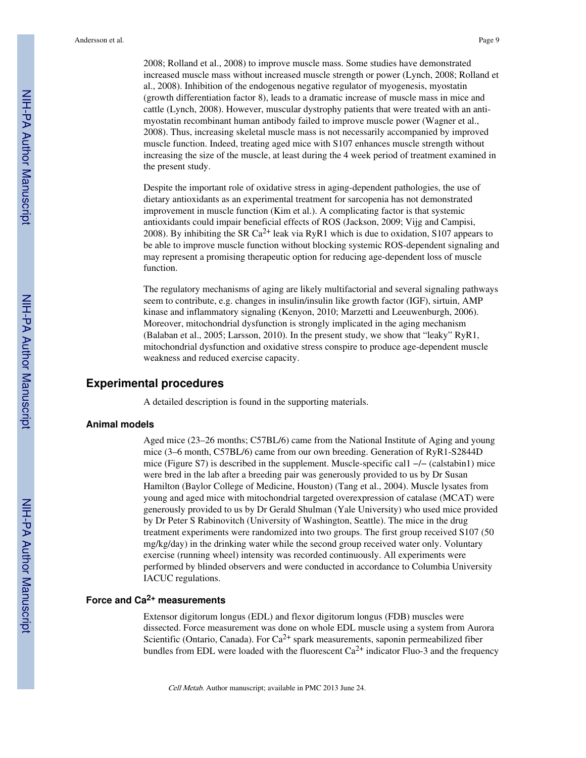2008; Rolland et al., 2008) to improve muscle mass. Some studies have demonstrated increased muscle mass without increased muscle strength or power (Lynch, 2008; Rolland et al., 2008). Inhibition of the endogenous negative regulator of myogenesis, myostatin (growth differentiation factor 8), leads to a dramatic increase of muscle mass in mice and cattle (Lynch, 2008). However, muscular dystrophy patients that were treated with an antimyostatin recombinant human antibody failed to improve muscle power (Wagner et al., 2008). Thus, increasing skeletal muscle mass is not necessarily accompanied by improved muscle function. Indeed, treating aged mice with S107 enhances muscle strength without increasing the size of the muscle, at least during the 4 week period of treatment examined in the present study.

Despite the important role of oxidative stress in aging-dependent pathologies, the use of dietary antioxidants as an experimental treatment for sarcopenia has not demonstrated improvement in muscle function (Kim et al.). A complicating factor is that systemic antioxidants could impair beneficial effects of ROS (Jackson, 2009; Vijg and Campisi, 2008). By inhibiting the SR Ca<sup>2+</sup> leak via RyR1 which is due to oxidation, S107 appears to be able to improve muscle function without blocking systemic ROS-dependent signaling and may represent a promising therapeutic option for reducing age-dependent loss of muscle function.

The regulatory mechanisms of aging are likely multifactorial and several signaling pathways seem to contribute, e.g. changes in insulin/insulin like growth factor (IGF), sirtuin, AMP kinase and inflammatory signaling (Kenyon, 2010; Marzetti and Leeuwenburgh, 2006). Moreover, mitochondrial dysfunction is strongly implicated in the aging mechanism (Balaban et al., 2005; Larsson, 2010). In the present study, we show that "leaky" RyR1, mitochondrial dysfunction and oxidative stress conspire to produce age-dependent muscle weakness and reduced exercise capacity.

## **Experimental procedures**

A detailed description is found in the supporting materials.

#### **Animal models**

Aged mice (23–26 months; C57BL/6) came from the National Institute of Aging and young mice (3–6 month, C57BL/6) came from our own breeding. Generation of RyR1-S2844D mice (Figure S7) is described in the supplement. Muscle-specific cal1 −/− (calstabin1) mice were bred in the lab after a breeding pair was generously provided to us by Dr Susan Hamilton (Baylor College of Medicine, Houston) (Tang et al., 2004). Muscle lysates from young and aged mice with mitochondrial targeted overexpression of catalase (MCAT) were generously provided to us by Dr Gerald Shulman (Yale University) who used mice provided by Dr Peter S Rabinovitch (University of Washington, Seattle). The mice in the drug treatment experiments were randomized into two groups. The first group received S107 (50 mg/kg/day) in the drinking water while the second group received water only. Voluntary exercise (running wheel) intensity was recorded continuously. All experiments were performed by blinded observers and were conducted in accordance to Columbia University IACUC regulations.

## **Force and Ca2+ measurements**

Extensor digitorum longus (EDL) and flexor digitorum longus (FDB) muscles were dissected. Force measurement was done on whole EDL muscle using a system from Aurora Scientific (Ontario, Canada). For  $Ca^{2+}$  spark measurements, saponin permeabilized fiber bundles from EDL were loaded with the fluorescent  $Ca^{2+}$  indicator Fluo-3 and the frequency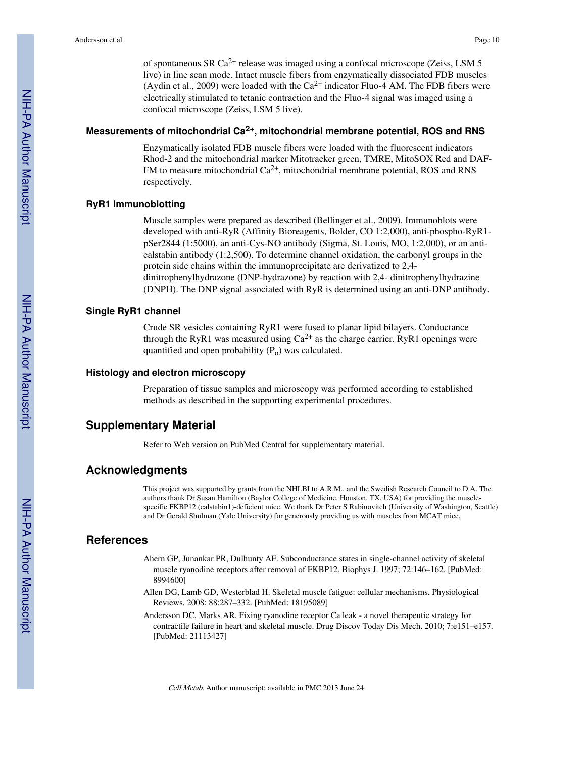of spontaneous SR Ca2+ release was imaged using a confocal microscope (Zeiss, LSM 5 live) in line scan mode. Intact muscle fibers from enzymatically dissociated FDB muscles (Aydin et al., 2009) were loaded with the  $Ca^{2+}$  indicator Fluo-4 AM. The FDB fibers were electrically stimulated to tetanic contraction and the Fluo-4 signal was imaged using a confocal microscope (Zeiss, LSM 5 live).

# **Measurements of mitochondrial Ca2+, mitochondrial membrane potential, ROS and RNS**

Enzymatically isolated FDB muscle fibers were loaded with the fluorescent indicators Rhod-2 and the mitochondrial marker Mitotracker green, TMRE, MitoSOX Red and DAF-FM to measure mitochondrial  $Ca^{2+}$ , mitochondrial membrane potential, ROS and RNS respectively.

#### **RyR1 Immunoblotting**

Muscle samples were prepared as described (Bellinger et al., 2009). Immunoblots were developed with anti-RyR (Affinity Bioreagents, Bolder, CO 1:2,000), anti-phospho-RyR1 pSer2844 (1:5000), an anti-Cys-NO antibody (Sigma, St. Louis, MO, 1:2,000), or an anticalstabin antibody (1:2,500). To determine channel oxidation, the carbonyl groups in the protein side chains within the immunoprecipitate are derivatized to 2,4 dinitrophenylhydrazone (DNP-hydrazone) by reaction with 2,4- dinitrophenylhydrazine (DNPH). The DNP signal associated with RyR is determined using an anti-DNP antibody.

#### **Single RyR1 channel**

Crude SR vesicles containing RyR1 were fused to planar lipid bilayers. Conductance through the RyR1 was measured using  $Ca^{2+}$  as the charge carrier. RyR1 openings were quantified and open probability  $(P_0)$  was calculated.

#### **Histology and electron microscopy**

Preparation of tissue samples and microscopy was performed according to established methods as described in the supporting experimental procedures.

#### **Supplementary Material**

Refer to Web version on PubMed Central for supplementary material.

#### **Acknowledgments**

This project was supported by grants from the NHLBI to A.R.M., and the Swedish Research Council to D.A. The authors thank Dr Susan Hamilton (Baylor College of Medicine, Houston, TX, USA) for providing the musclespecific FKBP12 (calstabin1)-deficient mice. We thank Dr Peter S Rabinovitch (University of Washington, Seattle) and Dr Gerald Shulman (Yale University) for generously providing us with muscles from MCAT mice.

#### **References**

- Ahern GP, Junankar PR, Dulhunty AF. Subconductance states in single-channel activity of skeletal muscle ryanodine receptors after removal of FKBP12. Biophys J. 1997; 72:146–162. [PubMed: 8994600]
- Allen DG, Lamb GD, Westerblad H. Skeletal muscle fatigue: cellular mechanisms. Physiological Reviews. 2008; 88:287–332. [PubMed: 18195089]
- Andersson DC, Marks AR. Fixing ryanodine receptor Ca leak a novel therapeutic strategy for contractile failure in heart and skeletal muscle. Drug Discov Today Dis Mech. 2010; 7:e151–e157. [PubMed: 21113427]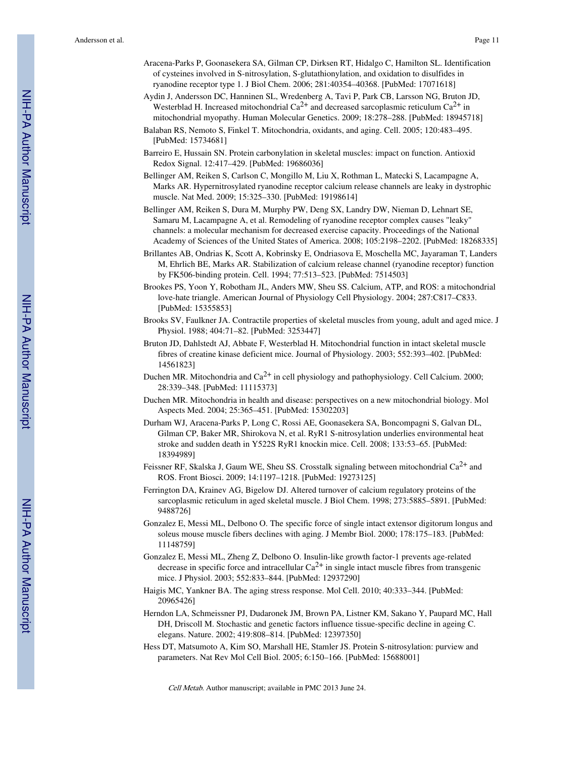- Aracena-Parks P, Goonasekera SA, Gilman CP, Dirksen RT, Hidalgo C, Hamilton SL. Identification of cysteines involved in S-nitrosylation, S-glutathionylation, and oxidation to disulfides in ryanodine receptor type 1. J Biol Chem. 2006; 281:40354–40368. [PubMed: 17071618]
- Aydin J, Andersson DC, Hanninen SL, Wredenberg A, Tavi P, Park CB, Larsson NG, Bruton JD, Westerblad H. Increased mitochondrial  $Ca^{2+}$  and decreased sarcoplasmic reticulum  $Ca^{2+}$  in mitochondrial myopathy. Human Molecular Genetics. 2009; 18:278–288. [PubMed: 18945718]
- Balaban RS, Nemoto S, Finkel T. Mitochondria, oxidants, and aging. Cell. 2005; 120:483–495. [PubMed: 15734681]
- Barreiro E, Hussain SN. Protein carbonylation in skeletal muscles: impact on function. Antioxid Redox Signal. 12:417–429. [PubMed: 19686036]
- Bellinger AM, Reiken S, Carlson C, Mongillo M, Liu X, Rothman L, Matecki S, Lacampagne A, Marks AR. Hypernitrosylated ryanodine receptor calcium release channels are leaky in dystrophic muscle. Nat Med. 2009; 15:325–330. [PubMed: 19198614]
- Bellinger AM, Reiken S, Dura M, Murphy PW, Deng SX, Landry DW, Nieman D, Lehnart SE, Samaru M, Lacampagne A, et al. Remodeling of ryanodine receptor complex causes "leaky" channels: a molecular mechanism for decreased exercise capacity. Proceedings of the National Academy of Sciences of the United States of America. 2008; 105:2198–2202. [PubMed: 18268335]
- Brillantes AB, Ondrias K, Scott A, Kobrinsky E, Ondriasova E, Moschella MC, Jayaraman T, Landers M, Ehrlich BE, Marks AR. Stabilization of calcium release channel (ryanodine receptor) function by FK506-binding protein. Cell. 1994; 77:513–523. [PubMed: 7514503]
- Brookes PS, Yoon Y, Robotham JL, Anders MW, Sheu SS. Calcium, ATP, and ROS: a mitochondrial love-hate triangle. American Journal of Physiology Cell Physiology. 2004; 287:C817–C833. [PubMed: 15355853]
- Brooks SV, Faulkner JA. Contractile properties of skeletal muscles from young, adult and aged mice. J Physiol. 1988; 404:71–82. [PubMed: 3253447]
- Bruton JD, Dahlstedt AJ, Abbate F, Westerblad H. Mitochondrial function in intact skeletal muscle fibres of creatine kinase deficient mice. Journal of Physiology. 2003; 552:393–402. [PubMed: 14561823]
- Duchen MR. Mitochondria and  $Ca^{2+}$  in cell physiology and pathophysiology. Cell Calcium. 2000; 28:339–348. [PubMed: 11115373]
- Duchen MR. Mitochondria in health and disease: perspectives on a new mitochondrial biology. Mol Aspects Med. 2004; 25:365–451. [PubMed: 15302203]
- Durham WJ, Aracena-Parks P, Long C, Rossi AE, Goonasekera SA, Boncompagni S, Galvan DL, Gilman CP, Baker MR, Shirokova N, et al. RyR1 S-nitrosylation underlies environmental heat stroke and sudden death in Y522S RyR1 knockin mice. Cell. 2008; 133:53–65. [PubMed: 18394989]
- Feissner RF, Skalska J, Gaum WE, Sheu SS. Crosstalk signaling between mitochondrial  $Ca^{2+}$  and ROS. Front Biosci. 2009; 14:1197–1218. [PubMed: 19273125]
- Ferrington DA, Krainev AG, Bigelow DJ. Altered turnover of calcium regulatory proteins of the sarcoplasmic reticulum in aged skeletal muscle. J Biol Chem. 1998; 273:5885–5891. [PubMed: 9488726]
- Gonzalez E, Messi ML, Delbono O. The specific force of single intact extensor digitorum longus and soleus mouse muscle fibers declines with aging. J Membr Biol. 2000; 178:175–183. [PubMed: 11148759]
- Gonzalez E, Messi ML, Zheng Z, Delbono O. Insulin-like growth factor-1 prevents age-related decrease in specific force and intracellular  $Ca^{2+}$  in single intact muscle fibres from transgenic mice. J Physiol. 2003; 552:833–844. [PubMed: 12937290]
- Haigis MC, Yankner BA. The aging stress response. Mol Cell. 2010; 40:333–344. [PubMed: 20965426]
- Herndon LA, Schmeissner PJ, Dudaronek JM, Brown PA, Listner KM, Sakano Y, Paupard MC, Hall DH, Driscoll M. Stochastic and genetic factors influence tissue-specific decline in ageing C. elegans. Nature. 2002; 419:808–814. [PubMed: 12397350]
- Hess DT, Matsumoto A, Kim SO, Marshall HE, Stamler JS. Protein S-nitrosylation: purview and parameters. Nat Rev Mol Cell Biol. 2005; 6:150–166. [PubMed: 15688001]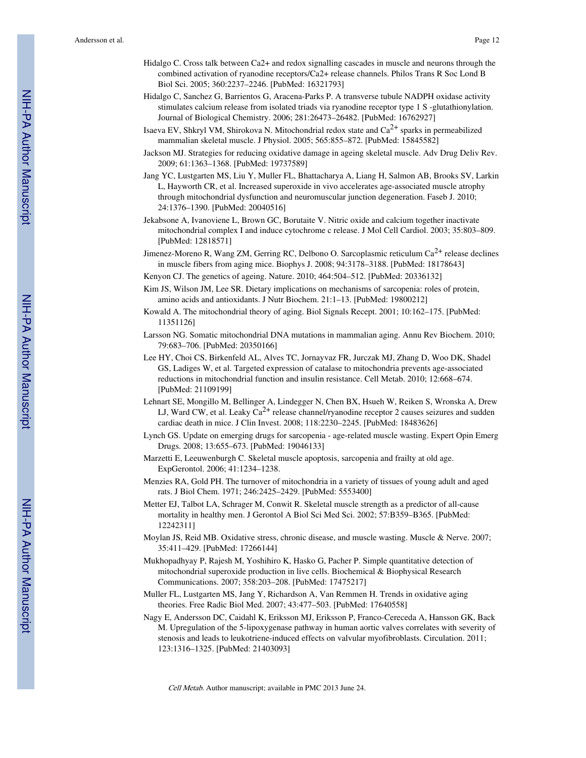- Hidalgo C. Cross talk between Ca2+ and redox signalling cascades in muscle and neurons through the combined activation of ryanodine receptors/Ca2+ release channels. Philos Trans R Soc Lond B Biol Sci. 2005; 360:2237–2246. [PubMed: 16321793]
- Hidalgo C, Sanchez G, Barrientos G, Aracena-Parks P. A transverse tubule NADPH oxidase activity stimulates calcium release from isolated triads via ryanodine receptor type 1 S -glutathionylation. Journal of Biological Chemistry. 2006; 281:26473–26482. [PubMed: 16762927]
- Isaeva EV, Shkryl VM, Shirokova N. Mitochondrial redox state and  $Ca<sup>2+</sup>$  sparks in permeabilized mammalian skeletal muscle. J Physiol. 2005; 565:855–872. [PubMed: 15845582]
- Jackson MJ. Strategies for reducing oxidative damage in ageing skeletal muscle. Adv Drug Deliv Rev. 2009; 61:1363–1368. [PubMed: 19737589]
- Jang YC, Lustgarten MS, Liu Y, Muller FL, Bhattacharya A, Liang H, Salmon AB, Brooks SV, Larkin L, Hayworth CR, et al. Increased superoxide in vivo accelerates age-associated muscle atrophy through mitochondrial dysfunction and neuromuscular junction degeneration. Faseb J. 2010; 24:1376–1390. [PubMed: 20040516]
- Jekabsone A, Ivanoviene L, Brown GC, Borutaite V. Nitric oxide and calcium together inactivate mitochondrial complex I and induce cytochrome c release. J Mol Cell Cardiol. 2003; 35:803–809. [PubMed: 12818571]
- Jimenez-Moreno R, Wang ZM, Gerring RC, Delbono O. Sarcoplasmic reticulum Ca<sup>2+</sup> release declines in muscle fibers from aging mice. Biophys J. 2008; 94:3178–3188. [PubMed: 18178643]
- Kenyon CJ. The genetics of ageing. Nature. 2010; 464:504–512. [PubMed: 20336132]
- Kim JS, Wilson JM, Lee SR. Dietary implications on mechanisms of sarcopenia: roles of protein, amino acids and antioxidants. J Nutr Biochem. 21:1–13. [PubMed: 19800212]
- Kowald A. The mitochondrial theory of aging. Biol Signals Recept. 2001; 10:162–175. [PubMed: 11351126]
- Larsson NG. Somatic mitochondrial DNA mutations in mammalian aging. Annu Rev Biochem. 2010; 79:683–706. [PubMed: 20350166]
- Lee HY, Choi CS, Birkenfeld AL, Alves TC, Jornayvaz FR, Jurczak MJ, Zhang D, Woo DK, Shadel GS, Ladiges W, et al. Targeted expression of catalase to mitochondria prevents age-associated reductions in mitochondrial function and insulin resistance. Cell Metab. 2010; 12:668–674. [PubMed: 21109199]
- Lehnart SE, Mongillo M, Bellinger A, Lindegger N, Chen BX, Hsueh W, Reiken S, Wronska A, Drew LJ, Ward CW, et al. Leaky  $Ca^{2+}$  release channel/ryanodine receptor 2 causes seizures and sudden cardiac death in mice. J Clin Invest. 2008; 118:2230–2245. [PubMed: 18483626]
- Lynch GS. Update on emerging drugs for sarcopenia age-related muscle wasting. Expert Opin Emerg Drugs. 2008; 13:655–673. [PubMed: 19046133]
- Marzetti E, Leeuwenburgh C. Skeletal muscle apoptosis, sarcopenia and frailty at old age. ExpGerontol. 2006; 41:1234–1238.
- Menzies RA, Gold PH. The turnover of mitochondria in a variety of tissues of young adult and aged rats. J Biol Chem. 1971; 246:2425–2429. [PubMed: 5553400]
- Metter EJ, Talbot LA, Schrager M, Conwit R. Skeletal muscle strength as a predictor of all-cause mortality in healthy men. J Gerontol A Biol Sci Med Sci. 2002; 57:B359–B365. [PubMed: 12242311]
- Moylan JS, Reid MB. Oxidative stress, chronic disease, and muscle wasting. Muscle & Nerve. 2007; 35:411–429. [PubMed: 17266144]
- Mukhopadhyay P, Rajesh M, Yoshihiro K, Hasko G, Pacher P. Simple quantitative detection of mitochondrial superoxide production in live cells. Biochemical & Biophysical Research Communications. 2007; 358:203–208. [PubMed: 17475217]
- Muller FL, Lustgarten MS, Jang Y, Richardson A, Van Remmen H. Trends in oxidative aging theories. Free Radic Biol Med. 2007; 43:477–503. [PubMed: 17640558]
- Nagy E, Andersson DC, Caidahl K, Eriksson MJ, Eriksson P, Franco-Cereceda A, Hansson GK, Back M. Upregulation of the 5-lipoxygenase pathway in human aortic valves correlates with severity of stenosis and leads to leukotriene-induced effects on valvular myofibroblasts. Circulation. 2011; 123:1316–1325. [PubMed: 21403093]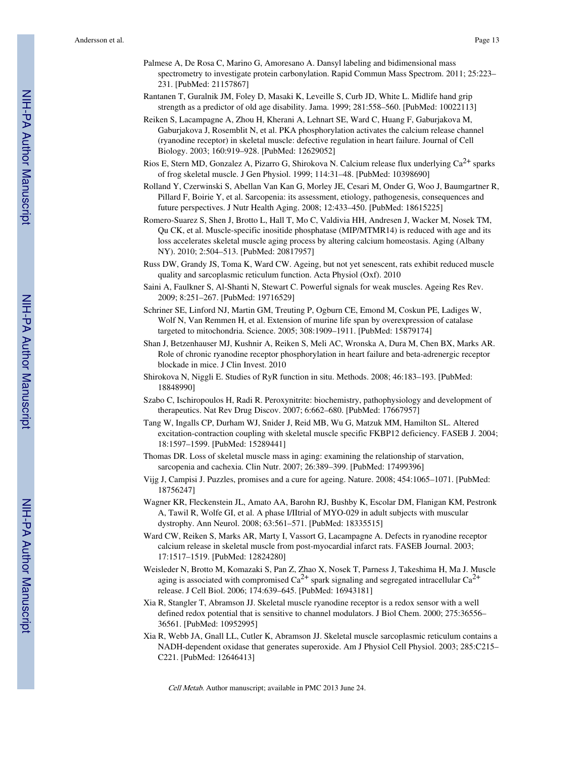- Palmese A, De Rosa C, Marino G, Amoresano A. Dansyl labeling and bidimensional mass spectrometry to investigate protein carbonylation. Rapid Commun Mass Spectrom. 2011; 25:223– 231. [PubMed: 21157867]
- Rantanen T, Guralnik JM, Foley D, Masaki K, Leveille S, Curb JD, White L. Midlife hand grip strength as a predictor of old age disability. Jama. 1999; 281:558–560. [PubMed: 10022113]
- Reiken S, Lacampagne A, Zhou H, Kherani A, Lehnart SE, Ward C, Huang F, Gaburjakova M, Gaburjakova J, Rosemblit N, et al. PKA phosphorylation activates the calcium release channel (ryanodine receptor) in skeletal muscle: defective regulation in heart failure. Journal of Cell Biology. 2003; 160:919–928. [PubMed: 12629052]
- Rios E, Stern MD, Gonzalez A, Pizarro G, Shirokova N. Calcium release flux underlying Ca<sup>2+</sup> sparks of frog skeletal muscle. J Gen Physiol. 1999; 114:31–48. [PubMed: 10398690]
- Rolland Y, Czerwinski S, Abellan Van Kan G, Morley JE, Cesari M, Onder G, Woo J, Baumgartner R, Pillard F, Boirie Y, et al. Sarcopenia: its assessment, etiology, pathogenesis, consequences and future perspectives. J Nutr Health Aging. 2008; 12:433–450. [PubMed: 18615225]
- Romero-Suarez S, Shen J, Brotto L, Hall T, Mo C, Valdivia HH, Andresen J, Wacker M, Nosek TM, Qu CK, et al. Muscle-specific inositide phosphatase (MIP/MTMR14) is reduced with age and its loss accelerates skeletal muscle aging process by altering calcium homeostasis. Aging (Albany NY). 2010; 2:504–513. [PubMed: 20817957]
- Russ DW, Grandy JS, Toma K, Ward CW. Ageing, but not yet senescent, rats exhibit reduced muscle quality and sarcoplasmic reticulum function. Acta Physiol (Oxf). 2010
- Saini A, Faulkner S, Al-Shanti N, Stewart C. Powerful signals for weak muscles. Ageing Res Rev. 2009; 8:251–267. [PubMed: 19716529]
- Schriner SE, Linford NJ, Martin GM, Treuting P, Ogburn CE, Emond M, Coskun PE, Ladiges W, Wolf N, Van Remmen H, et al. Extension of murine life span by overexpression of catalase targeted to mitochondria. Science. 2005; 308:1909–1911. [PubMed: 15879174]
- Shan J, Betzenhauser MJ, Kushnir A, Reiken S, Meli AC, Wronska A, Dura M, Chen BX, Marks AR. Role of chronic ryanodine receptor phosphorylation in heart failure and beta-adrenergic receptor blockade in mice. J Clin Invest. 2010
- Shirokova N, Niggli E. Studies of RyR function in situ. Methods. 2008; 46:183–193. [PubMed: 18848990]
- Szabo C, Ischiropoulos H, Radi R. Peroxynitrite: biochemistry, pathophysiology and development of therapeutics. Nat Rev Drug Discov. 2007; 6:662–680. [PubMed: 17667957]
- Tang W, Ingalls CP, Durham WJ, Snider J, Reid MB, Wu G, Matzuk MM, Hamilton SL. Altered excitation-contraction coupling with skeletal muscle specific FKBP12 deficiency. FASEB J. 2004; 18:1597–1599. [PubMed: 15289441]
- Thomas DR. Loss of skeletal muscle mass in aging: examining the relationship of starvation, sarcopenia and cachexia. Clin Nutr. 2007; 26:389–399. [PubMed: 17499396]
- Vijg J, Campisi J. Puzzles, promises and a cure for ageing. Nature. 2008; 454:1065–1071. [PubMed: 18756247]
- Wagner KR, Fleckenstein JL, Amato AA, Barohn RJ, Bushby K, Escolar DM, Flanigan KM, Pestronk A, Tawil R, Wolfe GI, et al. A phase I/IItrial of MYO-029 in adult subjects with muscular dystrophy. Ann Neurol. 2008; 63:561–571. [PubMed: 18335515]
- Ward CW, Reiken S, Marks AR, Marty I, Vassort G, Lacampagne A. Defects in ryanodine receptor calcium release in skeletal muscle from post-myocardial infarct rats. FASEB Journal. 2003; 17:1517–1519. [PubMed: 12824280]
- Weisleder N, Brotto M, Komazaki S, Pan Z, Zhao X, Nosek T, Parness J, Takeshima H, Ma J. Muscle aging is associated with compromised  $Ca^{2+}$  spark signaling and segregated intracellular  $Ca^{2+}$ release. J Cell Biol. 2006; 174:639–645. [PubMed: 16943181]
- Xia R, Stangler T, Abramson JJ. Skeletal muscle ryanodine receptor is a redox sensor with a well defined redox potential that is sensitive to channel modulators. J Biol Chem. 2000; 275:36556– 36561. [PubMed: 10952995]
- Xia R, Webb JA, Gnall LL, Cutler K, Abramson JJ. Skeletal muscle sarcoplasmic reticulum contains a NADH-dependent oxidase that generates superoxide. Am J Physiol Cell Physiol. 2003; 285:C215– C221. [PubMed: 12646413]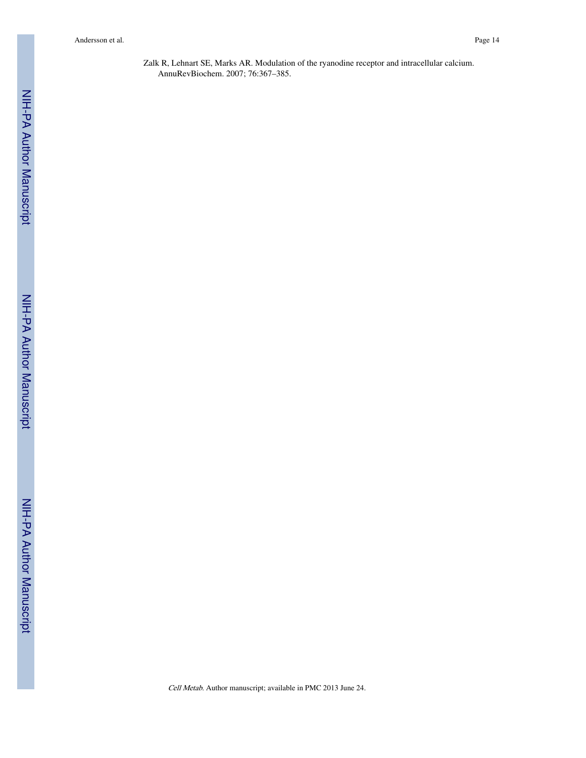Zalk R, Lehnart SE, Marks AR. Modulation of the ryanodine receptor and intracellular calcium. AnnuRevBiochem. 2007; 76:367–385.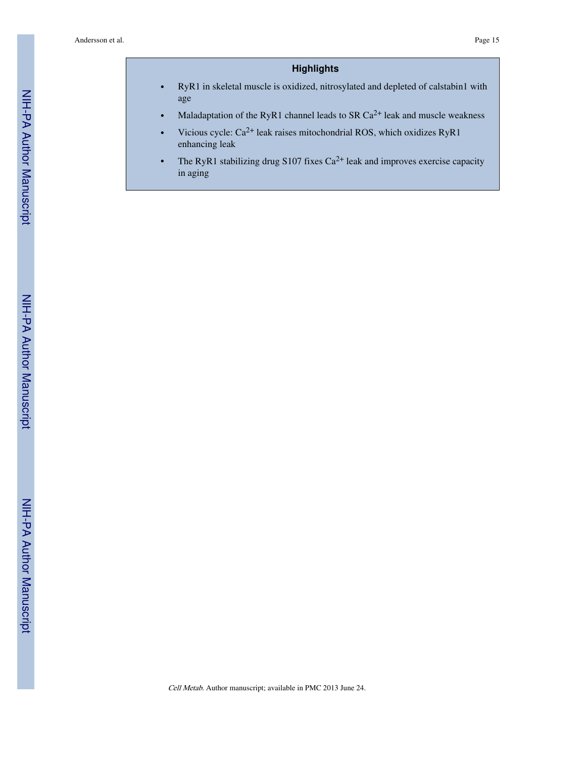# **Highlights**

- **•** RyR1 in skeletal muscle is oxidized, nitrosylated and depleted of calstabin1 with age
- **•** Maladaptation of the RyR1 channel leads to SR Ca2+ leak and muscle weakness
- **•** Vicious cycle: Ca2+ leak raises mitochondrial ROS, which oxidizes RyR1 enhancing leak
- The RyR1 stabilizing drug S107 fixes Ca<sup>2+</sup> leak and improves exercise capacity in aging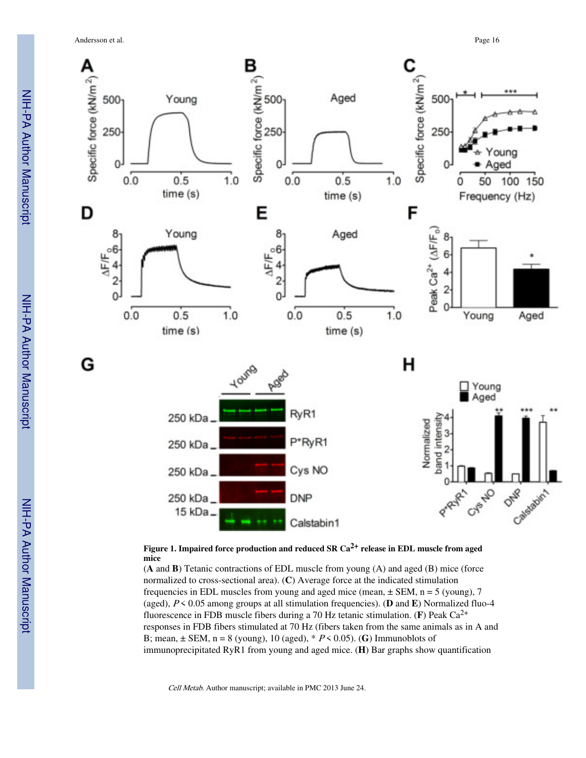Andersson et al. Page 16



**Figure 1. Impaired force production and reduced SR Ca2+ release in EDL muscle from aged mice**

(**A** and **B**) Tetanic contractions of EDL muscle from young (A) and aged (B) mice (force normalized to cross-sectional area). (**C**) Average force at the indicated stimulation frequencies in EDL muscles from young and aged mice (mean,  $\pm$  SEM, n = 5 (young), 7 (aged), P < 0.05 among groups at all stimulation frequencies). (**D** and **E**) Normalized fluo-4 fluorescence in FDB muscle fibers during a 70 Hz tetanic stimulation. (**F**) Peak Ca2+ responses in FDB fibers stimulated at 70 Hz (fibers taken from the same animals as in A and B; mean,  $\pm$  SEM, n = 8 (young), 10 (aged),  $* P < 0.05$ ). (G) Immunoblots of immunoprecipitated RyR1 from young and aged mice. (**H**) Bar graphs show quantification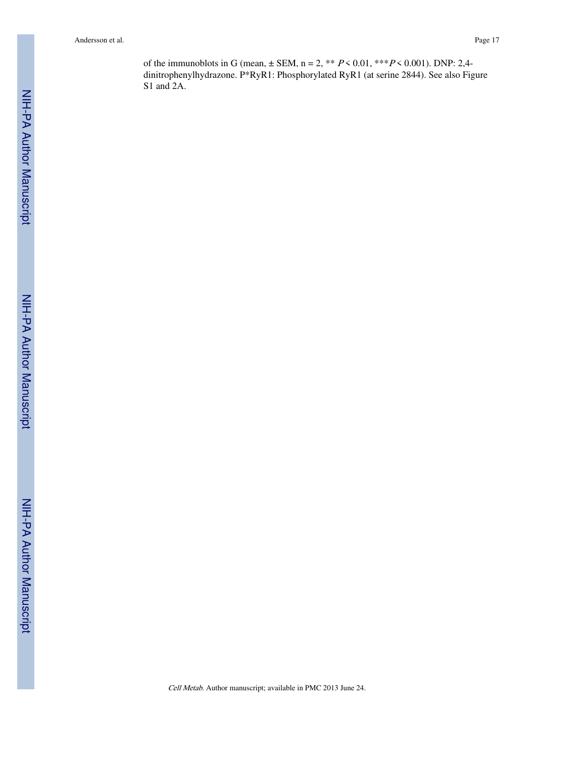of the immunoblots in G (mean,  $\pm$  SEM, n = 2, \*\*  $P \le 0.01$ , \*\*\* $P \le 0.001$ ). DNP: 2,4dinitrophenylhydrazone. P\*RyR1: Phosphorylated RyR1 (at serine 2844). See also Figure S1 and 2A.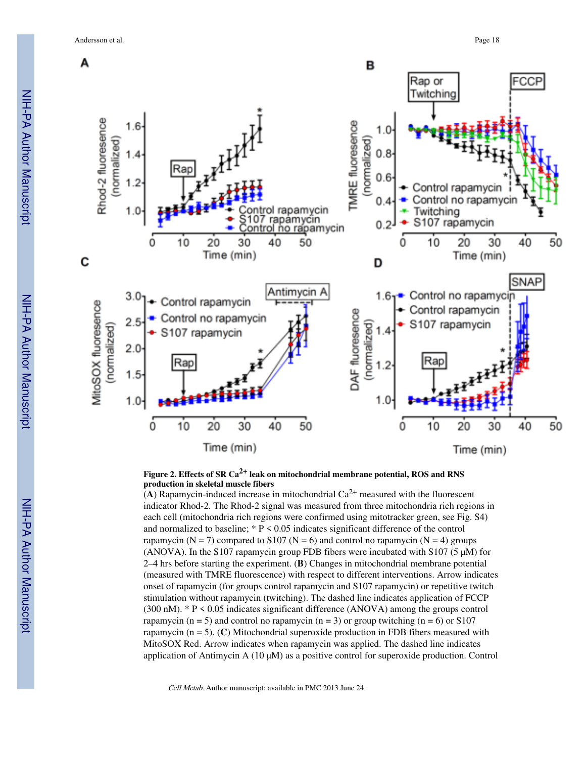Andersson et al. Page 18



**Figure 2. Effects of SR Ca2+ leak on mitochondrial membrane potential, ROS and RNS production in skeletal muscle fibers**

(A) Rapamycin-induced increase in mitochondrial  $Ca^{2+}$  measured with the fluorescent indicator Rhod-2. The Rhod-2 signal was measured from three mitochondria rich regions in each cell (mitochondria rich regions were confirmed using mitotracker green, see Fig. S4) and normalized to baseline;  $* P < 0.05$  indicates significant difference of the control rapamycin ( $N = 7$ ) compared to S107 ( $N = 6$ ) and control no rapamycin ( $N = 4$ ) groups (ANOVA). In the S107 rapamycin group FDB fibers were incubated with S107 (5  $\mu$ M) for 2–4 hrs before starting the experiment. (**B**) Changes in mitochondrial membrane potential (measured with TMRE fluorescence) with respect to different interventions. Arrow indicates onset of rapamycin (for groups control rapamycin and S107 rapamycin) or repetitive twitch stimulation without rapamycin (twitching). The dashed line indicates application of FCCP (300 nM). \* P < 0.05 indicates significant difference (ANOVA) among the groups control rapamycin ( $n = 5$ ) and control no rapamycin ( $n = 3$ ) or group twitching ( $n = 6$ ) or S107 rapamycin (n = 5). (**C**) Mitochondrial superoxide production in FDB fibers measured with MitoSOX Red. Arrow indicates when rapamycin was applied. The dashed line indicates application of Antimycin A  $(10 \mu M)$  as a positive control for superoxide production. Control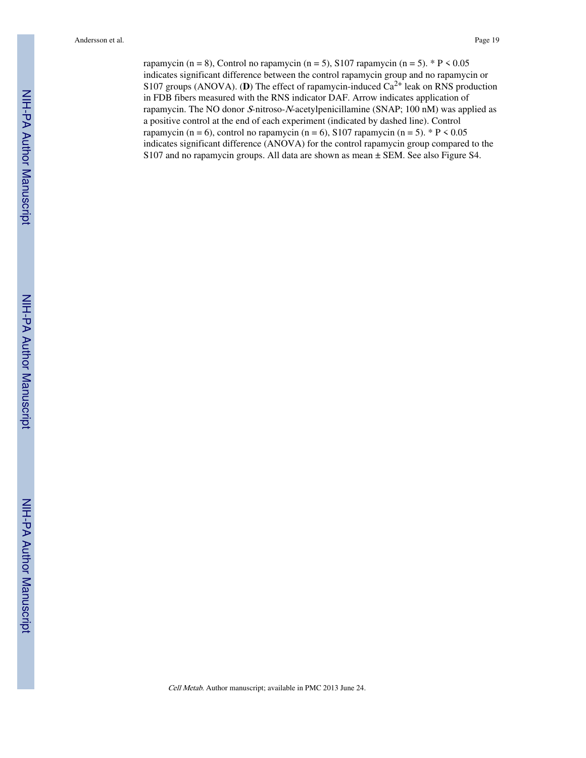rapamycin (n = 8), Control no rapamycin (n = 5), S107 rapamycin (n = 5). \* P < 0.05 indicates significant difference between the control rapamycin group and no rapamycin or S107 groups (ANOVA). (**D**) The effect of rapamycin-induced  $Ca^{2+}$  leak on RNS production in FDB fibers measured with the RNS indicator DAF. Arrow indicates application of rapamycin. The NO donor S-nitroso-N-acetylpenicillamine (SNAP; 100 nM) was applied as a positive control at the end of each experiment (indicated by dashed line). Control rapamycin (n = 6), control no rapamycin (n = 6), S107 rapamycin (n = 5). \* P < 0.05 indicates significant difference (ANOVA) for the control rapamycin group compared to the S107 and no rapamycin groups. All data are shown as mean ± SEM. See also Figure S4.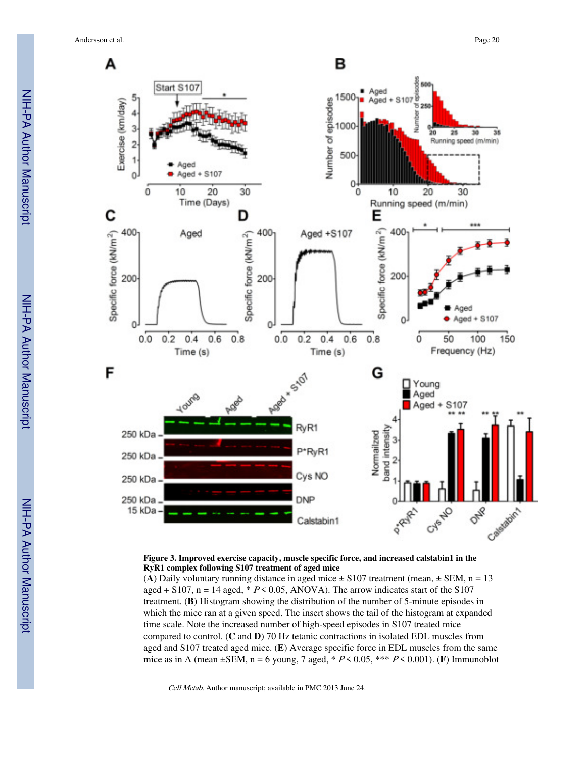Andersson et al. Page 20



#### **Figure 3. Improved exercise capacity, muscle specific force, and increased calstabin1 in the RyR1 complex following S107 treatment of aged mice**

(A) Daily voluntary running distance in aged mice  $\pm$  S107 treatment (mean,  $\pm$  SEM, n = 13 aged + S107, n = 14 aged,  $* P \le 0.05$ , ANOVA). The arrow indicates start of the S107 treatment. (**B**) Histogram showing the distribution of the number of 5-minute episodes in which the mice ran at a given speed. The insert shows the tail of the histogram at expanded time scale. Note the increased number of high-speed episodes in S107 treated mice compared to control. (**C** and **D**) 70 Hz tetanic contractions in isolated EDL muscles from aged and S107 treated aged mice. (**E**) Average specific force in EDL muscles from the same mice as in A (mean ±SEM, n = 6 young, 7 aged, \* P < 0.05, \*\*\* P < 0.001). (**F**) Immunoblot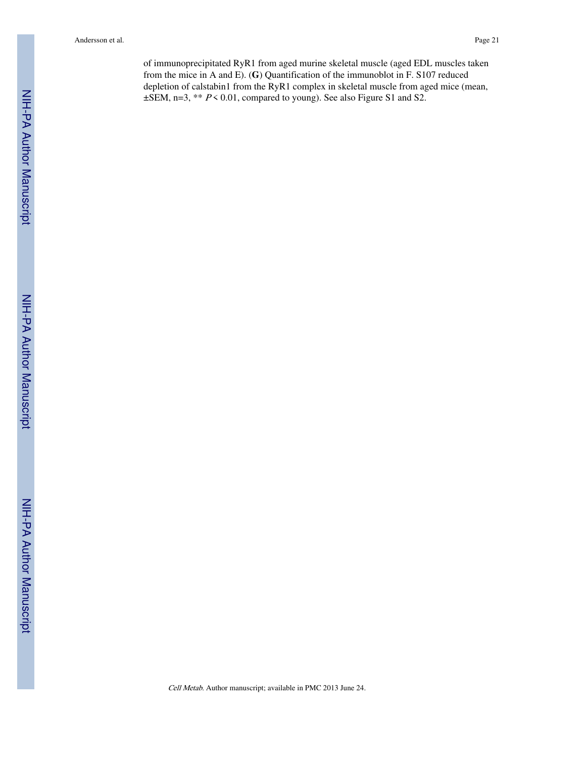of immunoprecipitated RyR1 from aged murine skeletal muscle (aged EDL muscles taken from the mice in A and E). (**G**) Quantification of the immunoblot in F. S107 reduced depletion of calstabin1 from the RyR1 complex in skeletal muscle from aged mice (mean,  $\pm$ SEM, n=3, \*\*  $P$  < 0.01, compared to young). See also Figure S1 and S2.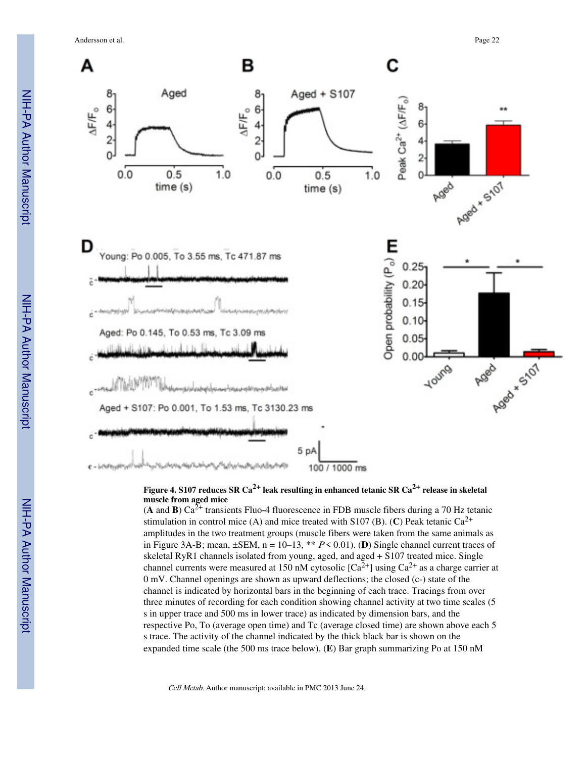Andersson et al. Page 22



**Figure 4. S107 reduces SR Ca2+ leak resulting in enhanced tetanic SR Ca2+ release in skeletal muscle from aged mice**

(**A** and **B**)  $Ca^{2+}$  transients Fluo-4 fluorescence in FDB muscle fibers during a 70 Hz tetanic stimulation in control mice (A) and mice treated with S107 (B). (C) Peak tetanic  $Ca^{2+}$ amplitudes in the two treatment groups (muscle fibers were taken from the same animals as in Figure 3A-B; mean,  $\pm$ SEM, n = 10–13, \*\*  $P \le 0.01$ ). (**D**) Single channel current traces of skeletal RyR1 channels isolated from young, aged, and aged + S107 treated mice. Single channel currents were measured at 150 nM cytosolic  $[Ca^{2+}]$  using  $Ca^{2+}$  as a charge carrier at 0 mV. Channel openings are shown as upward deflections; the closed (c-) state of the channel is indicated by horizontal bars in the beginning of each trace. Tracings from over three minutes of recording for each condition showing channel activity at two time scales (5 s in upper trace and 500 ms in lower trace) as indicated by dimension bars, and the respective Po, To (average open time) and Tc (average closed time) are shown above each 5 s trace. The activity of the channel indicated by the thick black bar is shown on the expanded time scale (the 500 ms trace below). (**E**) Bar graph summarizing Po at 150 nM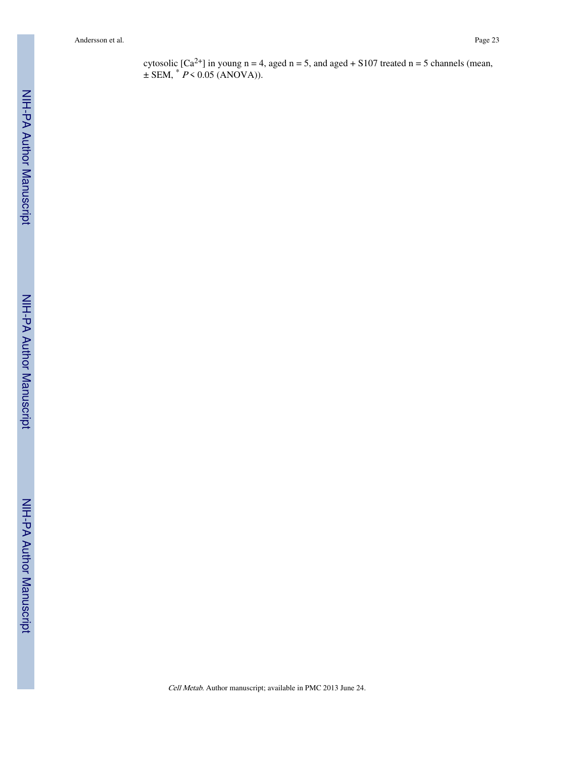cytosolic  $[Ca^{2+}]$  in young n = 4, aged n = 5, and aged + S107 treated n = 5 channels (mean,  $\pm$  SEM,  $*$  P < 0.05 (ANOVA)).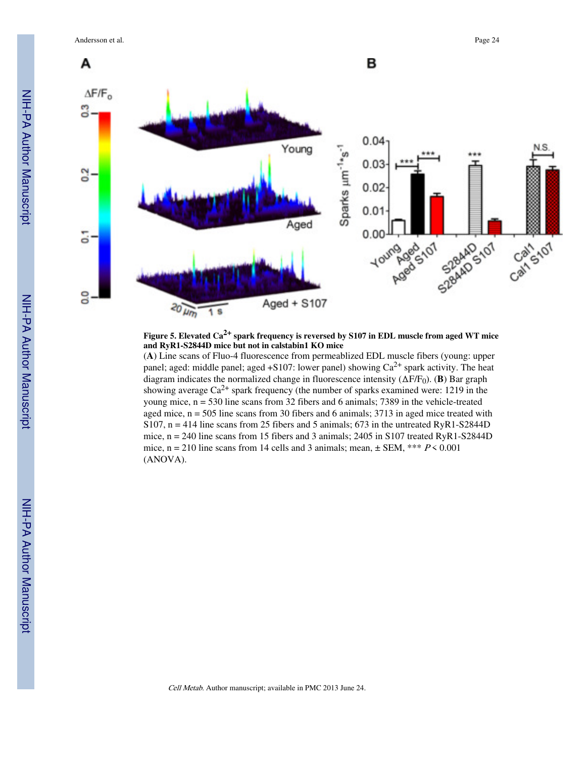Andersson et al. Page 24



**Figure 5. Elevated Ca2+ spark frequency is reversed by S107 in EDL muscle from aged WT mice and RyR1-S2844D mice but not in calstabin1 KO mice**

(**A**) Line scans of Fluo-4 fluorescence from permeablized EDL muscle fibers (young: upper panel; aged: middle panel; aged +S107: lower panel) showing  $Ca^{2+}$  spark activity. The heat diagram indicates the normalized change in fluorescence intensity  $(\Delta F/F_0)$ . (**B**) Bar graph showing average  $Ca^{2+}$  spark frequency (the number of sparks examined were: 1219 in the young mice,  $n = 530$  line scans from 32 fibers and 6 animals; 7389 in the vehicle-treated aged mice,  $n = 505$  line scans from 30 fibers and 6 animals; 3713 in aged mice treated with S107,  $n = 414$  line scans from 25 fibers and 5 animals; 673 in the untreated RyR1-S2844D mice,  $n = 240$  line scans from 15 fibers and 3 animals; 2405 in S107 treated RyR1-S2844D mice,  $n = 210$  line scans from 14 cells and 3 animals; mean,  $\pm$  SEM, \*\*\*  $P \le 0.001$ (ANOVA).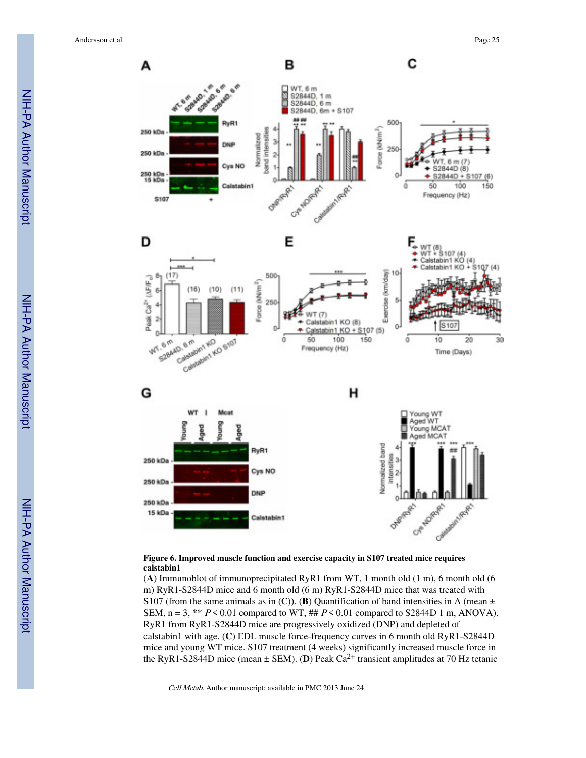

#### **Figure 6. Improved muscle function and exercise capacity in S107 treated mice requires calstabin1**

(**A**) Immunoblot of immunoprecipitated RyR1 from WT, 1 month old (1 m), 6 month old (6 m) RyR1-S2844D mice and 6 month old (6 m) RyR1-S2844D mice that was treated with S107 (from the same animals as in (C)). (**B**) Quantification of band intensities in A (mean  $\pm$ SEM,  $n = 3$ , \*\*  $P \le 0.01$  compared to WT, ##  $P \le 0.01$  compared to S2844D 1 m, ANOVA). RyR1 from RyR1-S2844D mice are progressively oxidized (DNP) and depleted of calstabin1 with age. (**C**) EDL muscle force-frequency curves in 6 month old RyR1-S2844D mice and young WT mice. S107 treatment (4 weeks) significantly increased muscle force in the RyR1-S2844D mice (mean  $\pm$  SEM). (**D**) Peak Ca<sup>2+</sup> transient amplitudes at 70 Hz tetanic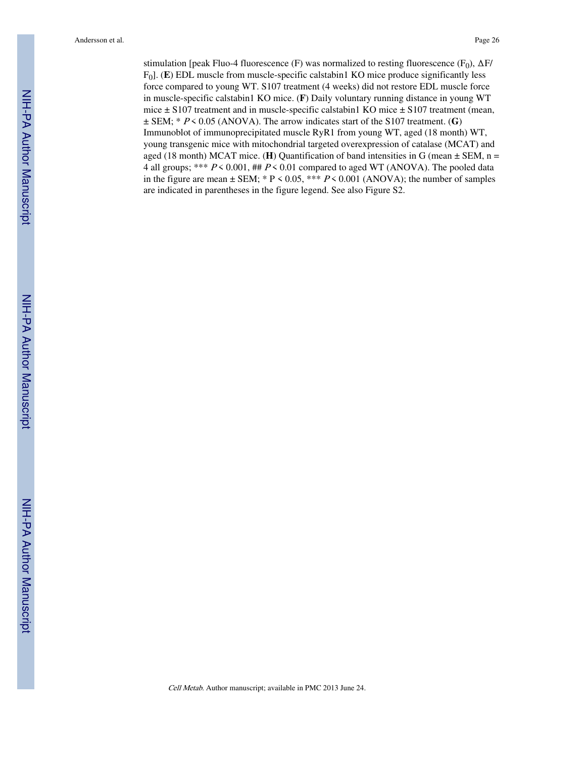stimulation [peak Fluo-4 fluorescence (F) was normalized to resting fluorescence (F<sub>0</sub>),  $ΔF/$ F0]. (**E**) EDL muscle from muscle-specific calstabin1 KO mice produce significantly less force compared to young WT. S107 treatment (4 weeks) did not restore EDL muscle force in muscle-specific calstabin1 KO mice. (**F**) Daily voluntary running distance in young WT mice ± S107 treatment and in muscle-specific calstabin1 KO mice ± S107 treatment (mean,  $\pm$  SEM;  $*$  P < 0.05 (ANOVA). The arrow indicates start of the S107 treatment. (G) Immunoblot of immunoprecipitated muscle RyR1 from young WT, aged (18 month) WT, young transgenic mice with mitochondrial targeted overexpression of catalase (MCAT) and aged (18 month) MCAT mice. (**H**) Quantification of band intensities in G (mean  $\pm$  SEM, n = 4 all groups; \*\*\*  $P \le 0.001$ , ##  $P \le 0.01$  compared to aged WT (ANOVA). The pooled data in the figure are mean  $\pm$  SEM; \* P < 0.05, \*\*\* P < 0.001 (ANOVA); the number of samples are indicated in parentheses in the figure legend. See also Figure S2.